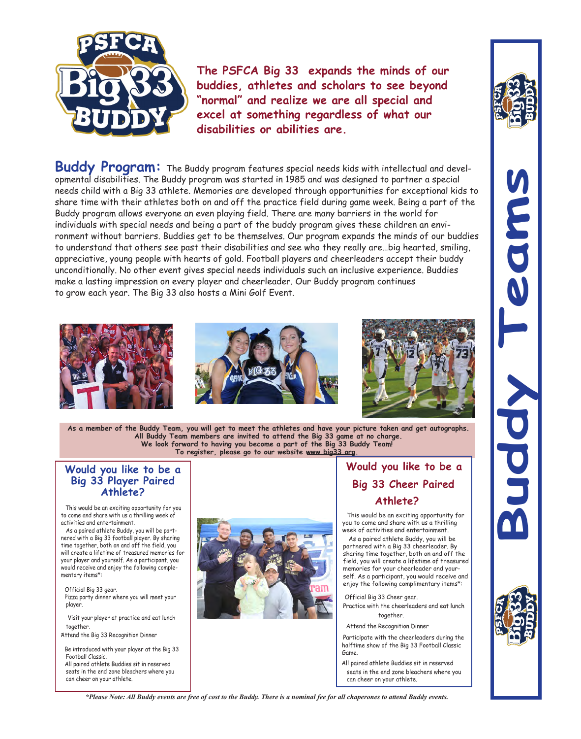

**The PSFCA Big 33 expands the minds of our buddies, athletes and scholars to see beyond "normal" and realize we are all special and excel at something regardless of what our disabilities or abilities are.**

**Buddy Program:** The Buddy program features special needs kids with intellectual and developmental disabilities. The Buddy program was started in 1985 and was designed to partner a special needs child with a Big 33 athlete. Memories are developed through opportunities for exceptional kids to share time with their athletes both on and off the practice field during game week. Being a part of the Buddy program allows everyone an even playing field. There are many barriers in the world for individuals with special needs and being a part of the buddy program gives these children an environment without barriers. Buddies get to be themselves. Our program expands the minds of our buddies to understand that others see past their disabilities and see who they really are…big hearted, smiling, appreciative, young people with hearts of gold. Football players and cheerleaders accept their buddy unconditionally. No other event gives special needs individuals such an inclusive experience. Buddies make a lasting impression on every player and cheerleader. Our Buddy program continues to grow each year. The Big 33 also hosts a Mini Golf Event.



**As a member of the Buddy Team, you will get to meet the athletes and have your picture taken and get autographs. All Buddy Team members are invited to attend the Big 33 game at no charge. We look forward to having you become a part of the Big 33 Buddy Team! To register, please go to our website www.big33.org.**

## **Would you like to be a Big 33 Player Paired Athlete?**

This would be an exciting opportunity for you to come and share with us a thrilling week of activities and entertainment.

As a paired athlete Buddy, you will be partnered with a Big 33 football player. By sharing time together, both on and off the field, you will create a lifetime of treasured memories for your player and yourself. As a participant, you would receive and enjoy the following complementary items\*:

 Official Big 33 gear. Pizza party dinner where you will meet your player.

 Visit your player at practice and eat lunch together.

Attend the Big 33 Recognition Dinner

 Be introduced with your player at the Big 33 Football Classic.

 All paired athlete Buddies sit in reserved seats in the end zone bleachers where you can cheer on your athlete.



## **Would you like to be a Big 33 Cheer Paired Athlete?**

This would be an exciting opportunity for you to come and share with us a thrilling week of activities and entertainment.

As a paired athlete Buddy, you will be partnered with a Big 33 cheerleader. By sharing time together, both on and off the field, you will create a lifetime of treasured memories for your cheerleader and yourself. As a participant, you would receive and enjoy the following complimentary items\*:

 Official Big 33 Cheer gear. Practice with the cheerleaders and eat lunch together.

Attend the Recognition Dinner

 Participate with the cheerleaders during the halftime show of the Big 33 Football Classic Game.

 All paired athlete Buddies sit in reserved seats in the end zone bleachers where you can cheer on your athlete.